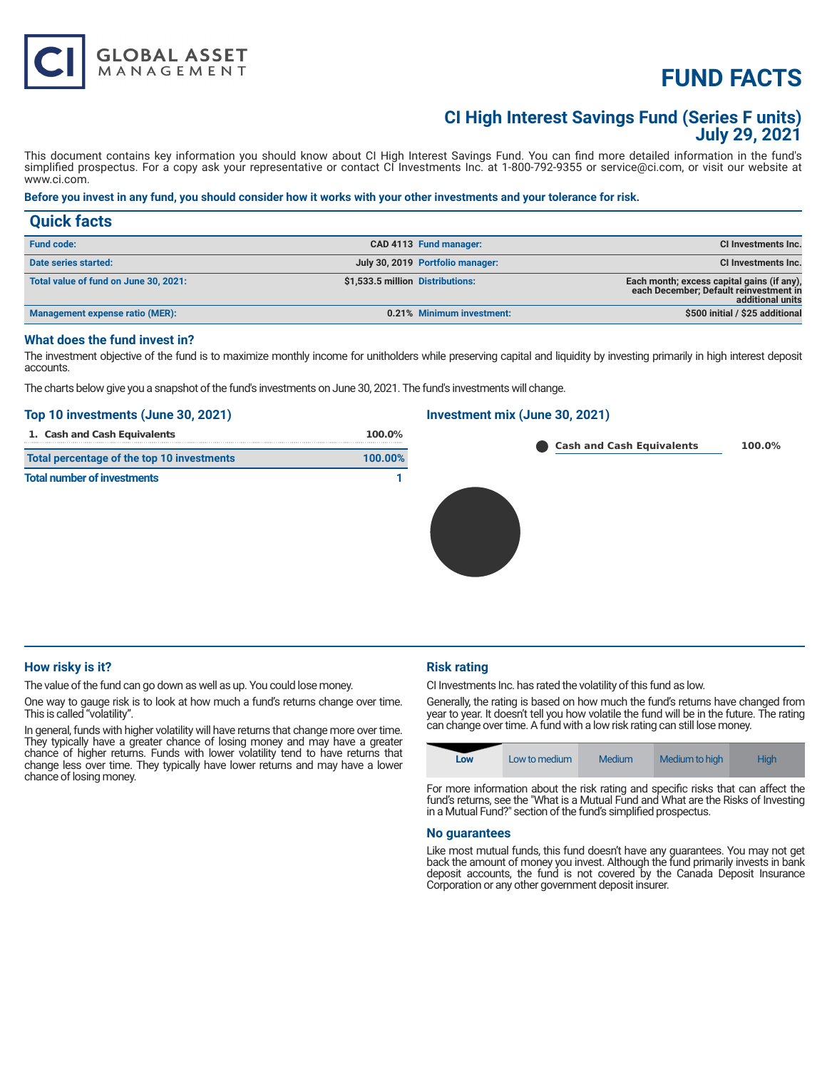# **FUND FACTS**

### **CI High Interest Savings Fund (Series F units) July 29, 2021**

This document contains key information you should know about CI High Interest Savings Fund. You can find more detailed information in the fund's simplified prospectus. For a copy ask your representative or contact CI Investments Inc. at 1-800-792-9355 or service@ci.com, or visit our website at www.ci.com.

#### **Before you invest in any fund, you should consider how it works with your other investments and your tolerance for risk.**

| <b>Quick facts</b>                    |                                  |                                  |                                                                                                          |
|---------------------------------------|----------------------------------|----------------------------------|----------------------------------------------------------------------------------------------------------|
| <b>Fund code:</b>                     |                                  | CAD 4113 Fund manager:           | <b>CI Investments Inc.</b>                                                                               |
| Date series started:                  |                                  | July 30, 2019 Portfolio manager: | CI Investments Inc.                                                                                      |
| Total value of fund on June 30, 2021: | \$1.533.5 million Distributions: |                                  | Each month; excess capital gains (if any),<br>each December; Default reinvestment in<br>additional units |
| Management expense ratio (MER):       |                                  | 0.21% Minimum investment:        | \$500 initial / \$25 additional                                                                          |

#### **What does the fund invest in?**

**GLOBAL ASSET**<br>MANAGEMENT

The investment objective of the fund is to maximize monthly income for unitholders while preserving capital and liquidity by investing primarily in high interest deposit accounts.

The charts below give you a snapshot of the fund's investments on June 30, 2021. The fund's investments will change.

## **Top 10 investments (June 30, 2021) 1. Cash and Cash Equivalents 100.0% Total percentage of the top 10 investments 100.00% Total number of investments** 1 **Investment mix (June 30, 2021) Cash and Cash Equivalents 100.0%**

#### **How risky is it?**

The value of the fund can go down as well as up. You could lose money.

One way to gauge risk is to look at how much a fund's returns change over time. This is called "volatility".

In general, funds with higher volatility will have returns that change more over time. They typically have a greater chance of losing money and may have a greater chance of higher returns. Funds with lower volatility tend to have returns that change less over time. They typically have lower returns and may have a lower chance of losing money.

#### **Risk rating**

CI Investments Inc. has rated the volatility of this fund as low.

Generally, the rating is based on how much the fund's returns have changed from year to year. It doesn't tell you how volatile the fund will be in the future. The rating can change over time. A fund with a low risk rating can still lose money.



For more information about the risk rating and specific risks that can affect the fund's returns, see the "What is a Mutual Fund and What are the Risks of Investing in a Mutual Fund?" section of the fund's simplified prospectus.

#### **No guarantees**

Like most mutual funds, this fund doesn't have any guarantees. You may not get back the amount of money you invest. Although the fund primarily invests in bank deposit accounts, the fund is not covered by the Canada Deposit Insurance Corporation or any other government deposit insurer.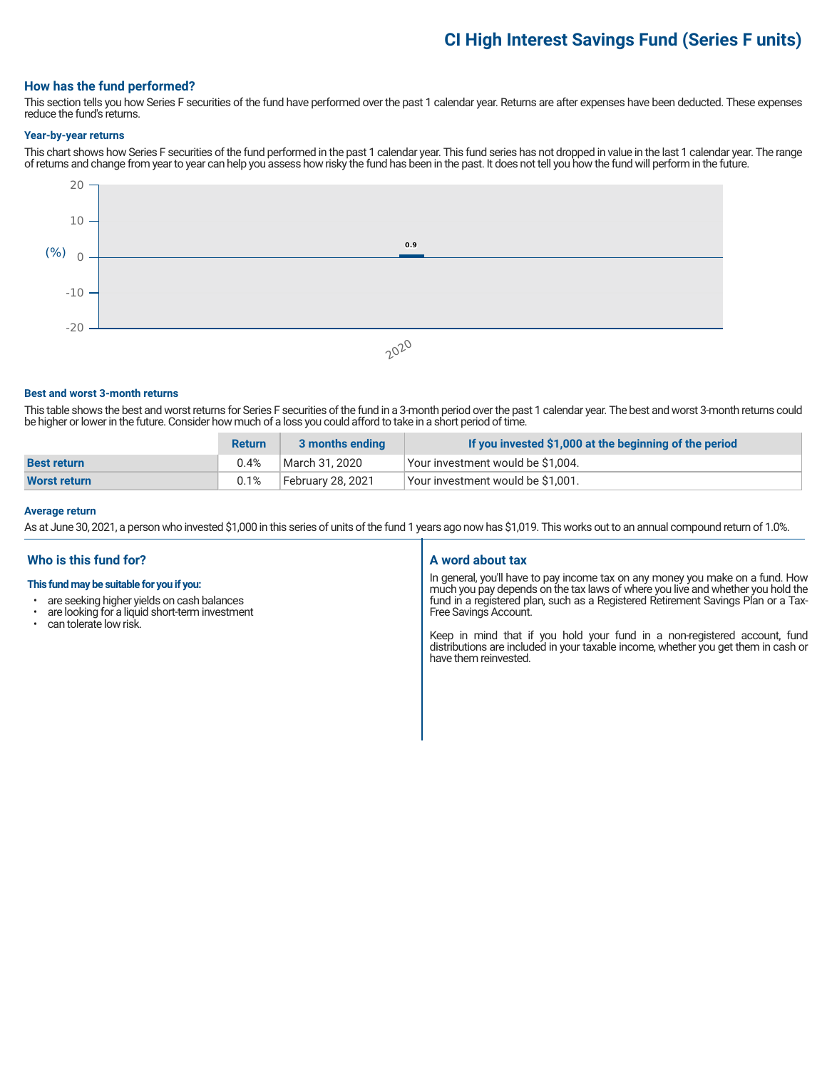## **CI High Interest Savings Fund (Series F units)**

#### **How has the fund performed?**

This section tells you how Series F securities of the fund have performed over the past 1 calendar year. Returns are after expenses have been deducted. These expenses reduce the fund's returns.

#### **Year-by-year returns**

This chart shows how Series F securities of the fund performed in the past 1 calendar year. This fund series has not dropped in value in the last 1 calendar year. The range of returns and change from year to year can help you assess how risky the fund has been in the past. It does not tell you how the fund will perform in the future.



#### **Best and worst 3-month returns**

This table shows the best and worst returns for Series F securities of the fund in a 3-month period over the past 1 calendar year. The best and worst 3-month returns could be higher or lower in the future. Consider how much of a loss you could afford to take in a short period of time.

|                     | <b>Return</b> | 3 months ending   | If you invested \$1,000 at the beginning of the period |
|---------------------|---------------|-------------------|--------------------------------------------------------|
| <b>Best return</b>  | 0.4%          | March 31, 2020    | Vour investment would be \$1,004.                      |
| <b>Worst return</b> | 0.1%          | February 28, 2021 | Vour investment would be \$1,001.                      |

#### **Average return**

As at June 30, 2021, a person who invested \$1,000 in this series of units of the fund 1 years ago now has \$1,019. This works out to an annual compound return of 1.0%.

#### **Who is this fund for?**

#### **This fund may be suitable for you if you:**

- are seeking higher yields on cash balances
- are looking for a liquid short-term investment
- can tolerate low risk.

#### **A word about tax**

In general, you'll have to pay income tax on any money you make on a fund. How much you pay depends on the tax laws of where you live and whether you hold the fund in a registered plan, such as a Registered Retirement Savings Plan or a Tax-Free Savings Account.

Keep in mind that if you hold your fund in a non-registered account, fund distributions are included in your taxable income, whether you get them in cash or have them reinvested.